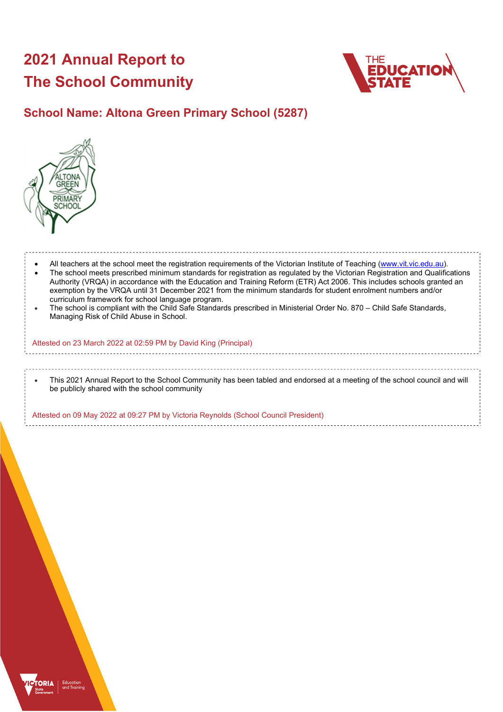# 2021 Annual Report to The School Community



## School Name: Altona Green Primary School (5287)



 All teachers at the school meet the registration requirements of the Victorian Institute of Teaching (www.vit.vic.edu.au). The school meets prescribed minimum standards for registration as regulated by the Victorian Registration and Qualifications Authority (VRQA) in accordance with the Education and Training Reform (ETR) Act 2006. This includes schools granted an exemption by the VRQA until 31 December 2021 from the minimum standards for student enrolment numbers and/or curriculum framework for school language program. The school is compliant with the Child Safe Standards prescribed in Ministerial Order No. 870 – Child Safe Standards, Managing Risk of Child Abuse in School. Attested on 23 March 2022 at 02:59 PM by David King (Principal) This 2021 Annual Report to the School Community has been tabled and endorsed at a meeting of the school council and will be publicly shared with the school community

Attested on 09 May 2022 at 09:27 PM by Victoria Reynolds (School Council President)

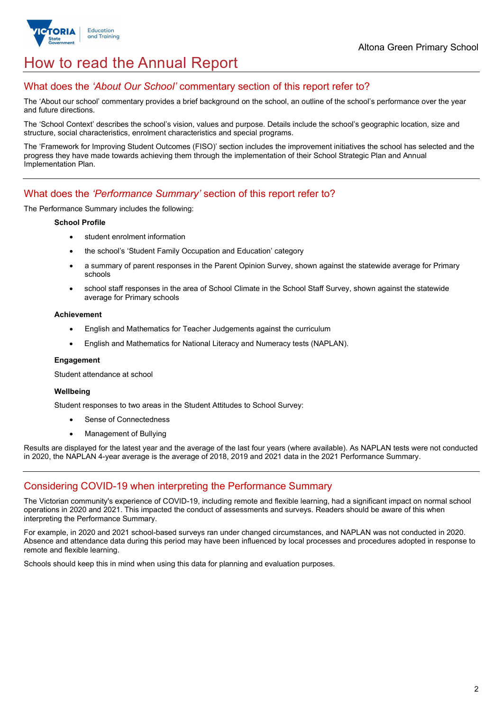

## How to read the Annual Report

### What does the 'About Our School' commentary section of this report refer to?

The 'About our school' commentary provides a brief background on the school, an outline of the school's performance over the year and future directions.

The 'School Context' describes the school's vision, values and purpose. Details include the school's geographic location, size and structure, social characteristics, enrolment characteristics and special programs.

The 'Framework for Improving Student Outcomes (FISO)' section includes the improvement initiatives the school has selected and the progress they have made towards achieving them through the implementation of their School Strategic Plan and Annual Implementation Plan.

### What does the 'Performance Summary' section of this report refer to?

The Performance Summary includes the following:

### School Profile

- student enrolment information
- the school's 'Student Family Occupation and Education' category
- a summary of parent responses in the Parent Opinion Survey, shown against the statewide average for Primary schools
- school staff responses in the area of School Climate in the School Staff Survey, shown against the statewide average for Primary schools

#### Achievement

- English and Mathematics for Teacher Judgements against the curriculum
- English and Mathematics for National Literacy and Numeracy tests (NAPLAN).

### Engagement

Student attendance at school

### Wellbeing

Student responses to two areas in the Student Attitudes to School Survey:

- Sense of Connectedness
- Management of Bullying

Results are displayed for the latest year and the average of the last four years (where available). As NAPLAN tests were not conducted in 2020, the NAPLAN 4-year average is the average of 2018, 2019 and 2021 data in the 2021 Performance Summary.

## Considering COVID-19 when interpreting the Performance Summary

The Victorian community's experience of COVID-19, including remote and flexible learning, had a significant impact on normal school operations in 2020 and 2021. This impacted the conduct of assessments and surveys. Readers should be aware of this when interpreting the Performance Summary.

For example, in 2020 and 2021 school-based surveys ran under changed circumstances, and NAPLAN was not conducted in 2020. Absence and attendance data during this period may have been influenced by local processes and procedures adopted in response to remote and flexible learning.

Schools should keep this in mind when using this data for planning and evaluation purposes.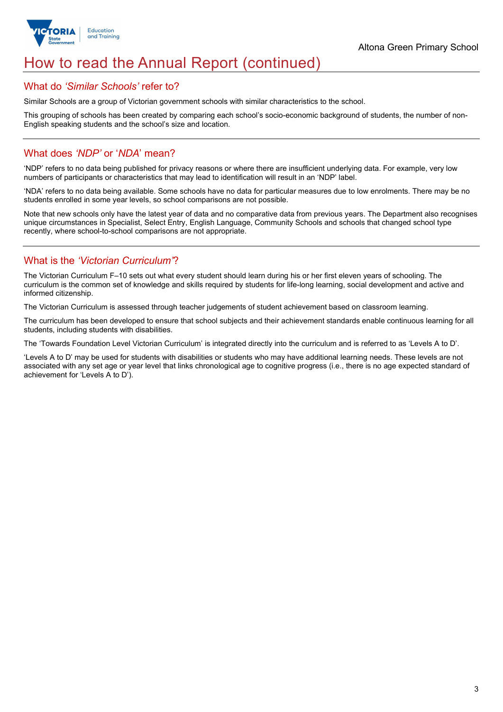

## How to read the Annual Report (continued)

### What do 'Similar Schools' refer to?

Similar Schools are a group of Victorian government schools with similar characteristics to the school.

This grouping of schools has been created by comparing each school's socio-economic background of students, the number of non-English speaking students and the school's size and location.

## What does 'NDP' or 'NDA' mean?

'NDP' refers to no data being published for privacy reasons or where there are insufficient underlying data. For example, very low numbers of participants or characteristics that may lead to identification will result in an 'NDP' label.

'NDA' refers to no data being available. Some schools have no data for particular measures due to low enrolments. There may be no students enrolled in some year levels, so school comparisons are not possible.

Note that new schools only have the latest year of data and no comparative data from previous years. The Department also recognises unique circumstances in Specialist, Select Entry, English Language, Community Schools and schools that changed school type recently, where school-to-school comparisons are not appropriate.

## What is the 'Victorian Curriculum'?

The Victorian Curriculum F–10 sets out what every student should learn during his or her first eleven years of schooling. The curriculum is the common set of knowledge and skills required by students for life-long learning, social development and active and informed citizenship.

The Victorian Curriculum is assessed through teacher judgements of student achievement based on classroom learning.

The curriculum has been developed to ensure that school subjects and their achievement standards enable continuous learning for all students, including students with disabilities.

The 'Towards Foundation Level Victorian Curriculum' is integrated directly into the curriculum and is referred to as 'Levels A to D'.

'Levels A to D' may be used for students with disabilities or students who may have additional learning needs. These levels are not associated with any set age or year level that links chronological age to cognitive progress (i.e., there is no age expected standard of achievement for 'Levels A to D').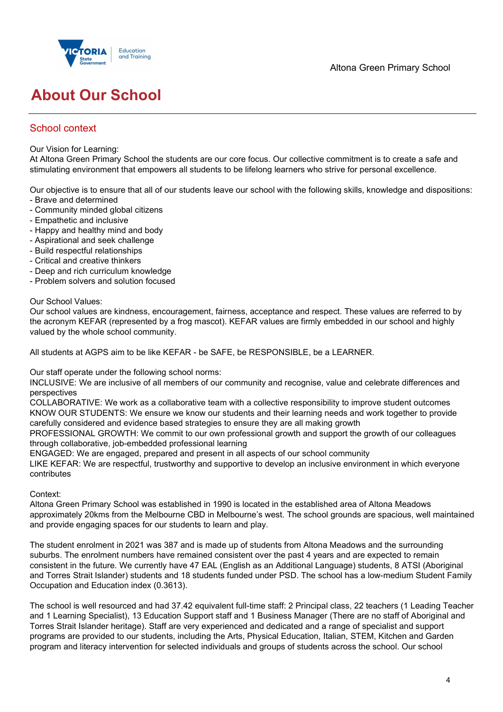

## About Our School

## School context

Our Vision for Learning:

At Altona Green Primary School the students are our core focus. Our collective commitment is to create a safe and stimulating environment that empowers all students to be lifelong learners who strive for personal excellence.

Our objective is to ensure that all of our students leave our school with the following skills, knowledge and dispositions:

- Brave and determined
- Community minded global citizens
- Empathetic and inclusive
- Happy and healthy mind and body
- Aspirational and seek challenge
- Build respectful relationships
- Critical and creative thinkers
- Deep and rich curriculum knowledge
- Problem solvers and solution focused

### Our School Values:

Our school values are kindness, encouragement, fairness, acceptance and respect. These values are referred to by the acronym KEFAR (represented by a frog mascot). KEFAR values are firmly embedded in our school and highly valued by the whole school community.

All students at AGPS aim to be like KEFAR - be SAFE, be RESPONSIBLE, be a LEARNER.

Our staff operate under the following school norms:

INCLUSIVE: We are inclusive of all members of our community and recognise, value and celebrate differences and perspectives

COLLABORATIVE: We work as a collaborative team with a collective responsibility to improve student outcomes KNOW OUR STUDENTS: We ensure we know our students and their learning needs and work together to provide carefully considered and evidence based strategies to ensure they are all making growth

PROFESSIONAL GROWTH: We commit to our own professional growth and support the growth of our colleagues through collaborative, job-embedded professional learning

ENGAGED: We are engaged, prepared and present in all aspects of our school community

LIKE KEFAR: We are respectful, trustworthy and supportive to develop an inclusive environment in which everyone contributes

### Context:

Altona Green Primary School was established in 1990 is located in the established area of Altona Meadows approximately 20kms from the Melbourne CBD in Melbourne's west. The school grounds are spacious, well maintained and provide engaging spaces for our students to learn and play.

The student enrolment in 2021 was 387 and is made up of students from Altona Meadows and the surrounding suburbs. The enrolment numbers have remained consistent over the past 4 years and are expected to remain consistent in the future. We currently have 47 EAL (English as an Additional Language) students, 8 ATSI (Aboriginal and Torres Strait Islander) students and 18 students funded under PSD. The school has a low-medium Student Family Occupation and Education index (0.3613).

The school is well resourced and had 37.42 equivalent full-time staff: 2 Principal class, 22 teachers (1 Leading Teacher and 1 Learning Specialist), 13 Education Support staff and 1 Business Manager (There are no staff of Aboriginal and Torres Strait Islander heritage). Staff are very experienced and dedicated and a range of specialist and support programs are provided to our students, including the Arts, Physical Education, Italian, STEM, Kitchen and Garden program and literacy intervention for selected individuals and groups of students across the school. Our school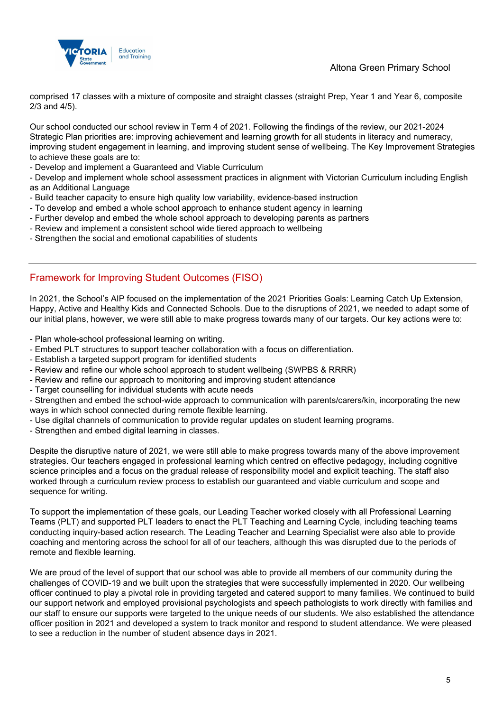

Altona Green Primary School

comprised 17 classes with a mixture of composite and straight classes (straight Prep, Year 1 and Year 6, composite 2/3 and 4/5).

Our school conducted our school review in Term 4 of 2021. Following the findings of the review, our 2021-2024 Strategic Plan priorities are: improving achievement and learning growth for all students in literacy and numeracy, improving student engagement in learning, and improving student sense of wellbeing. The Key Improvement Strategies to achieve these goals are to:

- Develop and implement a Guaranteed and Viable Curriculum

- Develop and implement whole school assessment practices in alignment with Victorian Curriculum including English as an Additional Language

- Build teacher capacity to ensure high quality low variability, evidence-based instruction
- To develop and embed a whole school approach to enhance student agency in learning
- Further develop and embed the whole school approach to developing parents as partners
- Review and implement a consistent school wide tiered approach to wellbeing
- Strengthen the social and emotional capabilities of students

## Framework for Improving Student Outcomes (FISO)

In 2021, the School's AIP focused on the implementation of the 2021 Priorities Goals: Learning Catch Up Extension, Happy, Active and Healthy Kids and Connected Schools. Due to the disruptions of 2021, we needed to adapt some of our initial plans, however, we were still able to make progress towards many of our targets. Our key actions were to:

- Plan whole-school professional learning on writing.

- Embed PLT structures to support teacher collaboration with a focus on differentiation.
- Establish a targeted support program for identified students
- Review and refine our whole school approach to student wellbeing (SWPBS & RRRR)
- Review and refine our approach to monitoring and improving student attendance
- Target counselling for individual students with acute needs

- Strengthen and embed the school-wide approach to communication with parents/carers/kin, incorporating the new ways in which school connected during remote flexible learning.

- Use digital channels of communication to provide regular updates on student learning programs.
- Strengthen and embed digital learning in classes.

Despite the disruptive nature of 2021, we were still able to make progress towards many of the above improvement strategies. Our teachers engaged in professional learning which centred on effective pedagogy, including cognitive science principles and a focus on the gradual release of responsibility model and explicit teaching. The staff also worked through a curriculum review process to establish our guaranteed and viable curriculum and scope and sequence for writing.

To support the implementation of these goals, our Leading Teacher worked closely with all Professional Learning Teams (PLT) and supported PLT leaders to enact the PLT Teaching and Learning Cycle, including teaching teams conducting inquiry-based action research. The Leading Teacher and Learning Specialist were also able to provide coaching and mentoring across the school for all of our teachers, although this was disrupted due to the periods of remote and flexible learning.

We are proud of the level of support that our school was able to provide all members of our community during the challenges of COVID-19 and we built upon the strategies that were successfully implemented in 2020. Our wellbeing officer continued to play a pivotal role in providing targeted and catered support to many families. We continued to build our support network and employed provisional psychologists and speech pathologists to work directly with families and our staff to ensure our supports were targeted to the unique needs of our students. We also established the attendance officer position in 2021 and developed a system to track monitor and respond to student attendance. We were pleased to see a reduction in the number of student absence days in 2021.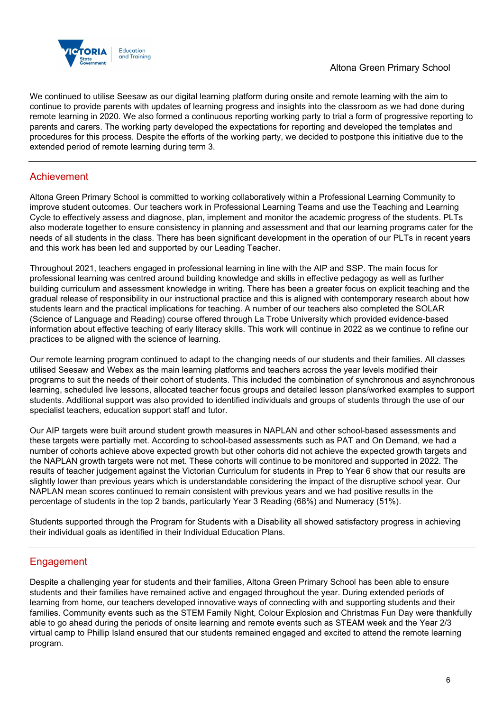

We continued to utilise Seesaw as our digital learning platform during onsite and remote learning with the aim to continue to provide parents with updates of learning progress and insights into the classroom as we had done during remote learning in 2020. We also formed a continuous reporting working party to trial a form of progressive reporting to parents and carers. The working party developed the expectations for reporting and developed the templates and procedures for this process. Despite the efforts of the working party, we decided to postpone this initiative due to the extended period of remote learning during term 3.

## Achievement

Altona Green Primary School is committed to working collaboratively within a Professional Learning Community to improve student outcomes. Our teachers work in Professional Learning Teams and use the Teaching and Learning Cycle to effectively assess and diagnose, plan, implement and monitor the academic progress of the students. PLTs also moderate together to ensure consistency in planning and assessment and that our learning programs cater for the needs of all students in the class. There has been significant development in the operation of our PLTs in recent years and this work has been led and supported by our Leading Teacher.

Throughout 2021, teachers engaged in professional learning in line with the AIP and SSP. The main focus for professional learning was centred around building knowledge and skills in effective pedagogy as well as further building curriculum and assessment knowledge in writing. There has been a greater focus on explicit teaching and the gradual release of responsibility in our instructional practice and this is aligned with contemporary research about how students learn and the practical implications for teaching. A number of our teachers also completed the SOLAR (Science of Language and Reading) course offered through La Trobe University which provided evidence-based information about effective teaching of early literacy skills. This work will continue in 2022 as we continue to refine our practices to be aligned with the science of learning.

Our remote learning program continued to adapt to the changing needs of our students and their families. All classes utilised Seesaw and Webex as the main learning platforms and teachers across the year levels modified their programs to suit the needs of their cohort of students. This included the combination of synchronous and asynchronous learning, scheduled live lessons, allocated teacher focus groups and detailed lesson plans/worked examples to support students. Additional support was also provided to identified individuals and groups of students through the use of our specialist teachers, education support staff and tutor.

Our AIP targets were built around student growth measures in NAPLAN and other school-based assessments and these targets were partially met. According to school-based assessments such as PAT and On Demand, we had a number of cohorts achieve above expected growth but other cohorts did not achieve the expected growth targets and the NAPLAN growth targets were not met. These cohorts will continue to be monitored and supported in 2022. The results of teacher judgement against the Victorian Curriculum for students in Prep to Year 6 show that our results are slightly lower than previous years which is understandable considering the impact of the disruptive school year. Our NAPLAN mean scores continued to remain consistent with previous years and we had positive results in the percentage of students in the top 2 bands, particularly Year 3 Reading (68%) and Numeracy (51%).

Students supported through the Program for Students with a Disability all showed satisfactory progress in achieving their individual goals as identified in their Individual Education Plans.

## **Engagement**

Despite a challenging year for students and their families, Altona Green Primary School has been able to ensure students and their families have remained active and engaged throughout the year. During extended periods of learning from home, our teachers developed innovative ways of connecting with and supporting students and their families. Community events such as the STEM Family Night, Colour Explosion and Christmas Fun Day were thankfully able to go ahead during the periods of onsite learning and remote events such as STEAM week and the Year 2/3 virtual camp to Phillip Island ensured that our students remained engaged and excited to attend the remote learning program.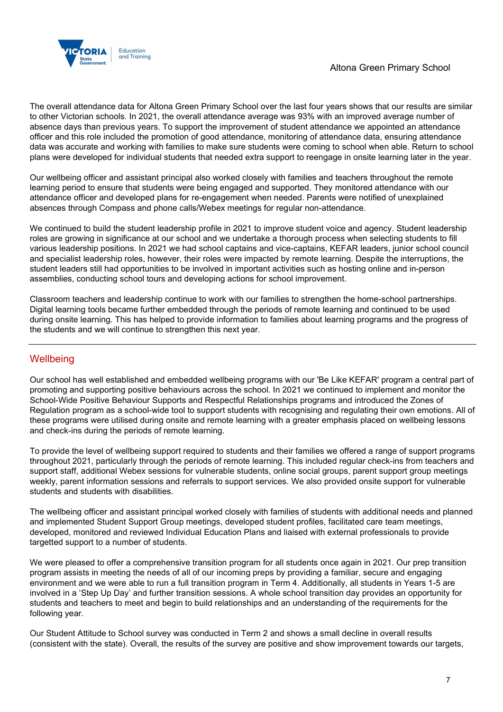

The overall attendance data for Altona Green Primary School over the last four years shows that our results are similar to other Victorian schools. In 2021, the overall attendance average was 93% with an improved average number of absence days than previous years. To support the improvement of student attendance we appointed an attendance officer and this role included the promotion of good attendance, monitoring of attendance data, ensuring attendance data was accurate and working with families to make sure students were coming to school when able. Return to school plans were developed for individual students that needed extra support to reengage in onsite learning later in the year.

Our wellbeing officer and assistant principal also worked closely with families and teachers throughout the remote learning period to ensure that students were being engaged and supported. They monitored attendance with our attendance officer and developed plans for re-engagement when needed. Parents were notified of unexplained absences through Compass and phone calls/Webex meetings for regular non-attendance.

We continued to build the student leadership profile in 2021 to improve student voice and agency. Student leadership roles are growing in significance at our school and we undertake a thorough process when selecting students to fill various leadership positions. In 2021 we had school captains and vice-captains, KEFAR leaders, junior school council and specialist leadership roles, however, their roles were impacted by remote learning. Despite the interruptions, the student leaders still had opportunities to be involved in important activities such as hosting online and in-person assemblies, conducting school tours and developing actions for school improvement.

Classroom teachers and leadership continue to work with our families to strengthen the home-school partnerships. Digital learning tools became further embedded through the periods of remote learning and continued to be used during onsite learning. This has helped to provide information to families about learning programs and the progress of the students and we will continue to strengthen this next year.

## **Wellbeing**

Our school has well established and embedded wellbeing programs with our 'Be Like KEFAR' program a central part of promoting and supporting positive behaviours across the school. In 2021 we continued to implement and monitor the School-Wide Positive Behaviour Supports and Respectful Relationships programs and introduced the Zones of Regulation program as a school-wide tool to support students with recognising and regulating their own emotions. All of these programs were utilised during onsite and remote learning with a greater emphasis placed on wellbeing lessons and check-ins during the periods of remote learning.

To provide the level of wellbeing support required to students and their families we offered a range of support programs throughout 2021, particularly through the periods of remote learning. This included regular check-ins from teachers and support staff, additional Webex sessions for vulnerable students, online social groups, parent support group meetings weekly, parent information sessions and referrals to support services. We also provided onsite support for vulnerable students and students with disabilities.

The wellbeing officer and assistant principal worked closely with families of students with additional needs and planned and implemented Student Support Group meetings, developed student profiles, facilitated care team meetings, developed, monitored and reviewed Individual Education Plans and liaised with external professionals to provide targetted support to a number of students.

We were pleased to offer a comprehensive transition program for all students once again in 2021. Our prep transition program assists in meeting the needs of all of our incoming preps by providing a familiar, secure and engaging environment and we were able to run a full transition program in Term 4. Additionally, all students in Years 1-5 are involved in a 'Step Up Day' and further transition sessions. A whole school transition day provides an opportunity for students and teachers to meet and begin to build relationships and an understanding of the requirements for the following year.

Our Student Attitude to School survey was conducted in Term 2 and shows a small decline in overall results (consistent with the state). Overall, the results of the survey are positive and show improvement towards our targets,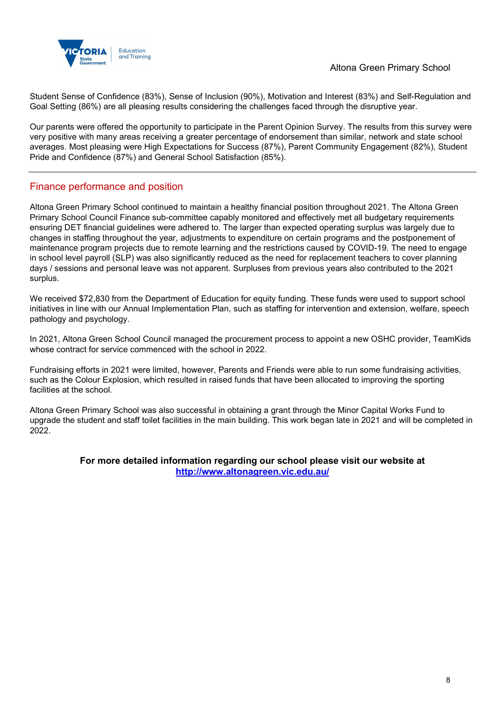

Student Sense of Confidence (83%), Sense of Inclusion (90%), Motivation and Interest (83%) and Self-Regulation and Goal Setting (86%) are all pleasing results considering the challenges faced through the disruptive year.

Our parents were offered the opportunity to participate in the Parent Opinion Survey. The results from this survey were very positive with many areas receiving a greater percentage of endorsement than similar, network and state school averages. Most pleasing were High Expectations for Success (87%), Parent Community Engagement (82%), Student Pride and Confidence (87%) and General School Satisfaction (85%).

### Finance performance and position

Altona Green Primary School continued to maintain a healthy financial position throughout 2021. The Altona Green Primary School Council Finance sub-committee capably monitored and effectively met all budgetary requirements ensuring DET financial guidelines were adhered to. The larger than expected operating surplus was largely due to changes in staffing throughout the year, adjustments to expenditure on certain programs and the postponement of maintenance program projects due to remote learning and the restrictions caused by COVID-19. The need to engage in school level payroll (SLP) was also significantly reduced as the need for replacement teachers to cover planning days / sessions and personal leave was not apparent. Surpluses from previous years also contributed to the 2021 surplus.

We received \$72,830 from the Department of Education for equity funding. These funds were used to support school initiatives in line with our Annual Implementation Plan, such as staffing for intervention and extension, welfare, speech pathology and psychology.

In 2021, Altona Green School Council managed the procurement process to appoint a new OSHC provider, TeamKids whose contract for service commenced with the school in 2022.

Fundraising efforts in 2021 were limited, however, Parents and Friends were able to run some fundraising activities, such as the Colour Explosion, which resulted in raised funds that have been allocated to improving the sporting facilities at the school.

Altona Green Primary School was also successful in obtaining a grant through the Minor Capital Works Fund to upgrade the student and staff toilet facilities in the main building. This work began late in 2021 and will be completed in 2022.

### For more detailed information regarding our school please visit our website at http://www.altonagreen.vic.edu.au/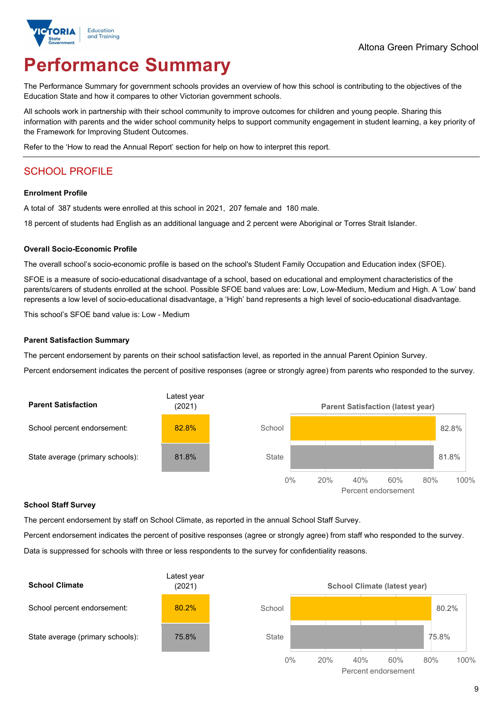

# Performance Summary

The Performance Summary for government schools provides an overview of how this school is contributing to the objectives of the Education State and how it compares to other Victorian government schools.

All schools work in partnership with their school community to improve outcomes for children and young people. Sharing this information with parents and the wider school community helps to support community engagement in student learning, a key priority of the Framework for Improving Student Outcomes.

Refer to the 'How to read the Annual Report' section for help on how to interpret this report.

## SCHOOL PROFILE

### Enrolment Profile

A total of 387 students were enrolled at this school in 2021, 207 female and 180 male.

18 percent of students had English as an additional language and 2 percent were Aboriginal or Torres Strait Islander.

### Overall Socio-Economic Profile

The overall school's socio-economic profile is based on the school's Student Family Occupation and Education index (SFOE).

SFOE is a measure of socio-educational disadvantage of a school, based on educational and employment characteristics of the parents/carers of students enrolled at the school. Possible SFOE band values are: Low, Low-Medium, Medium and High. A 'Low' band represents a low level of socio-educational disadvantage, a 'High' band represents a high level of socio-educational disadvantage.

This school's SFOE band value is: Low - Medium

### Parent Satisfaction Summary

The percent endorsement by parents on their school satisfaction level, as reported in the annual Parent Opinion Survey.

Percent endorsement indicates the percent of positive responses (agree or strongly agree) from parents who responded to the survey.



### School Staff Survey

The percent endorsement by staff on School Climate, as reported in the annual School Staff Survey.

Percent endorsement indicates the percent of positive responses (agree or strongly agree) from staff who responded to the survey. Data is suppressed for schools with three or less respondents to the survey for confidentiality reasons.

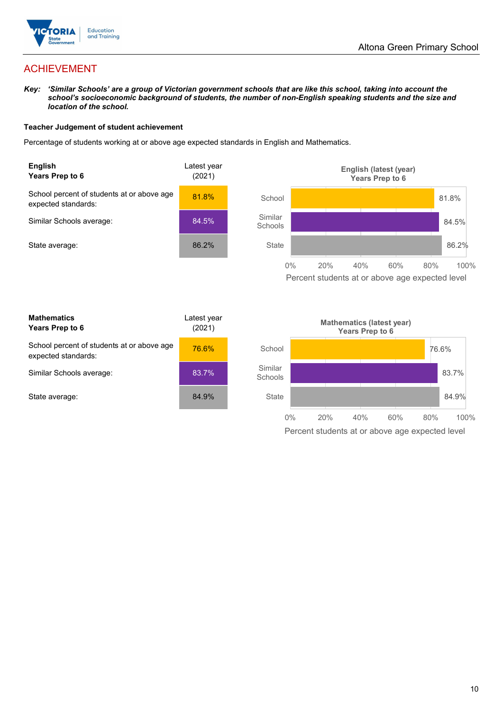

## ACHIEVEMENT

Key: 'Similar Schools' are a group of Victorian government schools that are like this school, taking into account the school's socioeconomic background of students, the number of non-English speaking students and the size and location of the school.

### Teacher Judgement of student achievement

Percentage of students working at or above age expected standards in English and Mathematics.



**Mathematics** Years Prep to 6 Latest year (2021) School percent of students at or above age expected standards: 76.6% Similar Schools average: 83.7% State average: 84.9%

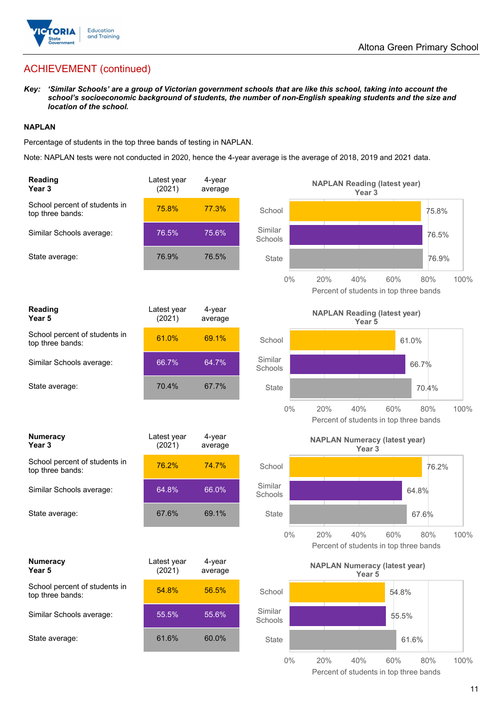

## ACHIEVEMENT (continued)

### NAPLAN

|                   | location of the school.                                            |                       |                   |                    | (ey: 'Similar Schools' are a group of Victorian government schools that are like this school, taking into account the<br>school's socioeconomic background of students, the number of non-English speaking students and the size and |             |
|-------------------|--------------------------------------------------------------------|-----------------------|-------------------|--------------------|--------------------------------------------------------------------------------------------------------------------------------------------------------------------------------------------------------------------------------------|-------------|
| <b>IAPLAN</b>     |                                                                    |                       |                   |                    |                                                                                                                                                                                                                                      |             |
|                   | ercentage of students in the top three bands of testing in NAPLAN. |                       |                   |                    |                                                                                                                                                                                                                                      |             |
|                   |                                                                    |                       |                   |                    | lote: NAPLAN tests were not conducted in 2020, hence the 4-year average is the average of 2018, 2019 and 2021 data.                                                                                                                  |             |
| Reading<br>Year 3 |                                                                    | Latest year<br>(2021) | 4-year<br>average |                    | <b>NAPLAN Reading (latest year)</b><br>Year 3                                                                                                                                                                                        |             |
|                   | School percent of students in<br>top three bands:                  | 75.8%                 | 77.3%             | School             |                                                                                                                                                                                                                                      | 75.8%       |
|                   | Similar Schools average:                                           | 76.5%                 | 75.6%             | Similar<br>Schools |                                                                                                                                                                                                                                      | 76.5%       |
|                   | State average:                                                     | 76.9%                 | 76.5%             | State              |                                                                                                                                                                                                                                      | 76.9%       |
|                   |                                                                    |                       |                   | $0\%$              | 20%<br>40%<br>60%<br>Percent of students in top three bands                                                                                                                                                                          | 100%<br>80% |
| Reading<br>Year 5 |                                                                    | Latest year<br>(2021) | 4-year<br>average |                    | <b>NAPLAN Reading (latest year)</b><br>Year 5                                                                                                                                                                                        |             |
|                   | School percent of students in<br>top three bands:                  | 61.0%                 | 69.1%             | School             | 61.0%                                                                                                                                                                                                                                |             |
|                   | Similar Schools average:                                           | 66.7%                 | 64.7%             | Similar<br>Schools | 66.7%                                                                                                                                                                                                                                |             |
|                   | State average:                                                     | 70.4%                 | 67.7%             | State              | 70.4%                                                                                                                                                                                                                                |             |
|                   |                                                                    |                       |                   | $0\%$              | 20%<br>40%<br>60%<br>Percent of students in top three bands                                                                                                                                                                          | 80%<br>100% |
| Year 3            | Numeracy                                                           | Latest year<br>(2021) | 4-year<br>average |                    | <b>NAPLAN Numeracy (latest year)</b><br>Year 3                                                                                                                                                                                       |             |
|                   | School percent of students in<br>top three bands:                  | 76.2%                 | 74.7%             | School             |                                                                                                                                                                                                                                      | 76.2%       |
|                   | Similar Schools average:                                           | 64.8%                 | 66.0%             | Similar<br>Schools | 64.8%                                                                                                                                                                                                                                |             |
|                   | State average:                                                     | 67.6%                 | 69.1%             | State              | 67.6%                                                                                                                                                                                                                                |             |
|                   |                                                                    |                       |                   | $0\%$              | 20%<br>40%<br>60%<br>Percent of students in top three bands                                                                                                                                                                          | 100%<br>80% |
| Year 5            | <b>Numeracy</b>                                                    | Latest year<br>(2021) | 4-year<br>average |                    | <b>NAPLAN Numeracy (latest year)</b><br>Year 5                                                                                                                                                                                       |             |
|                   | School percent of students in<br>top three bands:                  | 54.8%                 | 56.5%             | School             | 54.8%                                                                                                                                                                                                                                |             |
|                   | Similar Schools average:                                           | 55.5%                 | 55.6%             | Similar<br>Schools | 55.5%                                                                                                                                                                                                                                |             |
|                   | State average:                                                     | 61.6%                 | 60.0%             | State              | 61.6%                                                                                                                                                                                                                                |             |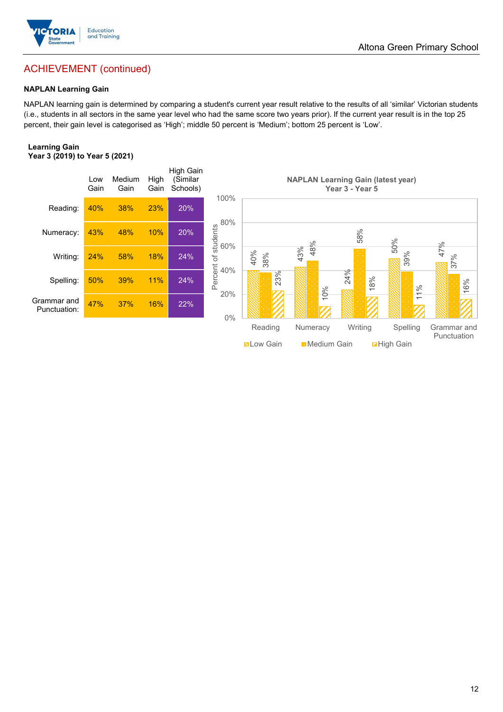

## ACHIEVEMENT (continued)

### NAPLAN Learning Gain

NAPLAN learning gain is determined by comparing a student's current year result relative to the results of all 'similar' Victorian students (i.e., students in all sectors in the same year level who had the same score two years prior). If the current year result is in the top 25 percent, their gain level is categorised as 'High'; middle 50 percent is 'Medium'; bottom 25 percent is 'Low'.

### Learning Gain Year 3 (2019) to Year 5 (2021)

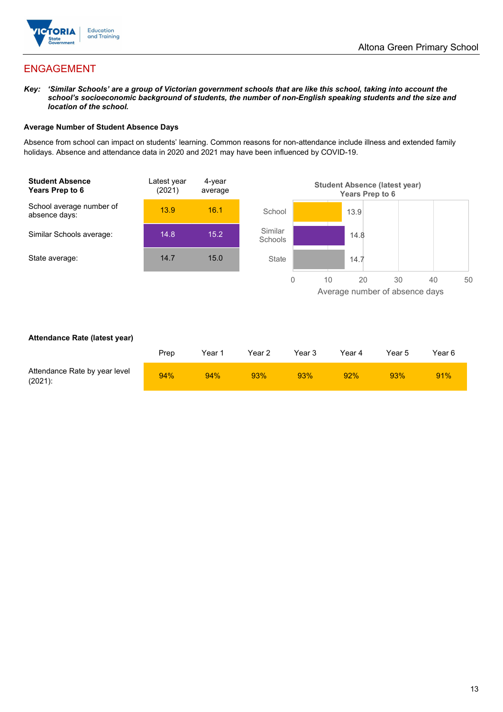

## ENGAGEMENT

Key: 'Similar Schools' are a group of Victorian government schools that are like this school, taking into account the school's socioeconomic background of students, the number of non-English speaking students and the size and location of the school.

### Average Number of Student Absence Days

Absence from school can impact on students' learning. Common reasons for non-attendance include illness and extended family holidays. Absence and attendance data in 2020 and 2021 may have been influenced by COVID-19.



### Attendance Rate (latest year)

|                                             | Prep | Year 1 | Year 2 | Year 3 | Year 4 | Year 5 | Year 6 |
|---------------------------------------------|------|--------|--------|--------|--------|--------|--------|
| Attendance Rate by year level<br>$(2021)$ : | 94%  | 94%    | 93%    | 93%    | 92%    | 93%    | 91%    |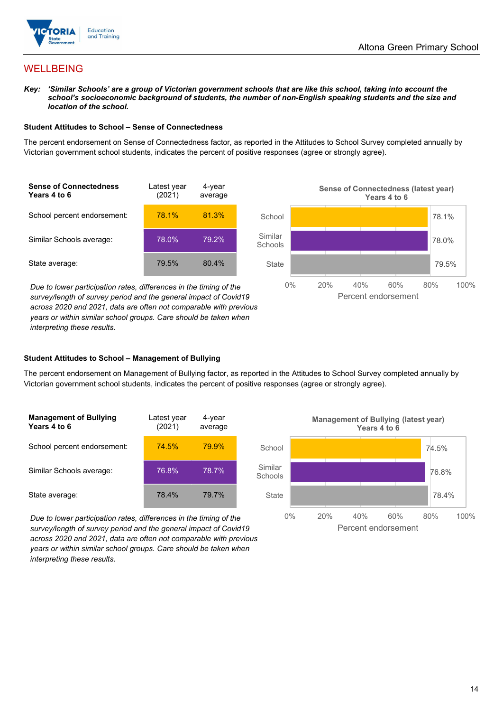

## WELLBEING

Key: 'Similar Schools' are a group of Victorian government schools that are like this school, taking into account the school's socioeconomic background of students, the number of non-English speaking students and the size and location of the school.

### Student Attitudes to School – Sense of Connectedness

The percent endorsement on Sense of Connectedness factor, as reported in the Attitudes to School Survey completed annually by Victorian government school students, indicates the percent of positive responses (agree or strongly agree).

| <b>Sense of Connectedness</b><br>Years 4 to 6 | Latest year<br>(2021) | 4-year<br>average |  |
|-----------------------------------------------|-----------------------|-------------------|--|
| School percent endorsement:                   | 78.1%                 | 81.3%             |  |
| Similar Schools average:                      | 78.0%                 | 79.2%             |  |
| State average:                                | 79.5%                 | 80.4%             |  |

Due to lower participation rates, differences in the timing of the survey/length of survey period and the general impact of Covid19 across 2020 and 2021, data are often not comparable with previous years or within similar school groups. Care should be taken when interpreting these results.



### Student Attitudes to School – Management of Bullying

The percent endorsement on Management of Bullying factor, as reported in the Attitudes to School Survey completed annually by Victorian government school students, indicates the percent of positive responses (agree or strongly agree).

| <b>Management of Bullying</b><br>Years 4 to 6 | Latest year<br>(2021) | 4-year<br>average |  |
|-----------------------------------------------|-----------------------|-------------------|--|
| School percent endorsement:                   | <b>74.5%</b>          | 79.9%             |  |
| Similar Schools average:                      | 76.8%                 | 78.7%             |  |
| State average:                                | 78.4%                 | 79.7%             |  |

Due to lower participation rates, differences in the timing of the survey/length of survey period and the general impact of Covid19 across 2020 and 2021, data are often not comparable with previous years or within similar school groups. Care should be taken when interpreting these results.

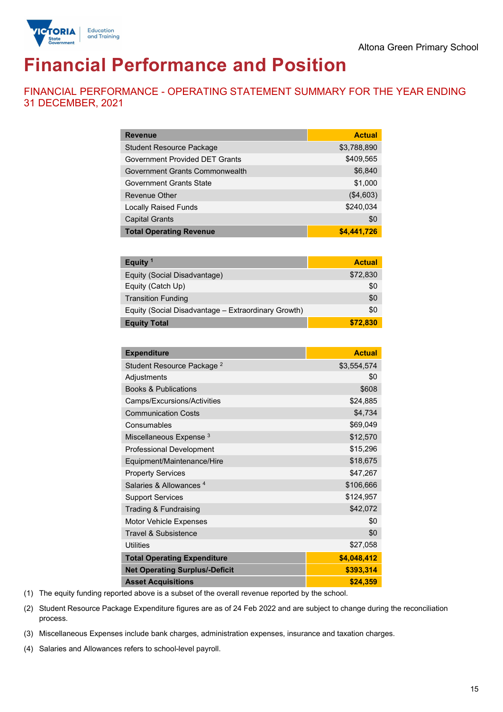

# Financial Performance and Position

FINANCIAL PERFORMANCE - OPERATING STATEMENT SUMMARY FOR THE YEAR ENDING 31 DECEMBER, 2021

| <b>Revenue</b>                  | <b>Actual</b> |
|---------------------------------|---------------|
| <b>Student Resource Package</b> | \$3,788,890   |
| Government Provided DET Grants  | \$409,565     |
| Government Grants Commonwealth  | \$6,840       |
| <b>Government Grants State</b>  | \$1,000       |
| Revenue Other                   | (\$4,603)     |
| <b>Locally Raised Funds</b>     | \$240,034     |
| <b>Capital Grants</b>           | \$0           |
| <b>Total Operating Revenue</b>  | \$4,441,726   |

| Equity <sup>1</sup>                                 | <b>Actual</b> |
|-----------------------------------------------------|---------------|
| Equity (Social Disadvantage)                        | \$72,830      |
| Equity (Catch Up)                                   | \$0           |
| <b>Transition Funding</b>                           | \$0           |
| Equity (Social Disadvantage - Extraordinary Growth) | \$0           |
| <b>Equity Total</b>                                 | \$72,830      |

| <b>Expenditure</b>                    | <b>Actual</b> |
|---------------------------------------|---------------|
| Student Resource Package <sup>2</sup> | \$3,554,574   |
| Adjustments                           | \$0           |
| <b>Books &amp; Publications</b>       | \$608         |
| Camps/Excursions/Activities           | \$24,885      |
| <b>Communication Costs</b>            | \$4,734       |
| Consumables                           | \$69,049      |
| Miscellaneous Expense <sup>3</sup>    | \$12,570      |
| <b>Professional Development</b>       | \$15,296      |
| Equipment/Maintenance/Hire            | \$18,675      |
| <b>Property Services</b>              | \$47,267      |
| Salaries & Allowances <sup>4</sup>    | \$106,666     |
| <b>Support Services</b>               | \$124,957     |
| Trading & Fundraising                 | \$42,072      |
| Motor Vehicle Expenses                | \$0           |
| Travel & Subsistence                  | \$0           |
| <b>Utilities</b>                      | \$27,058      |
| <b>Total Operating Expenditure</b>    | \$4,048,412   |
| <b>Net Operating Surplus/-Deficit</b> | \$393,314     |
| <b>Asset Acquisitions</b>             | \$24,359      |

(1) The equity funding reported above is a subset of the overall revenue reported by the school.

(2) Student Resource Package Expenditure figures are as of 24 Feb 2022 and are subject to change during the reconciliation process.

(3) Miscellaneous Expenses include bank charges, administration expenses, insurance and taxation charges.

(4) Salaries and Allowances refers to school-level payroll.